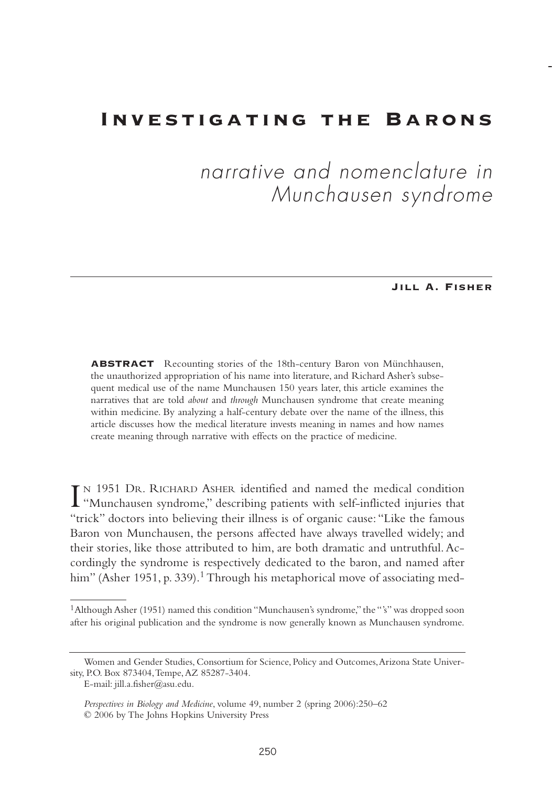# Investigating the Barons

*narrative and nomenclature in Munchausen syndrome*

### Jill A. Fisher

ABSTRACT Recounting stories of the 18th-century Baron von Münchhausen, the unauthorized appropriation of his name into literature, and Richard Asher's subsequent medical use of the name Munchausen 150 years later, this article examines the narratives that are told *about* and *through* Munchausen syndrome that create meaning within medicine. By analyzing a half-century debate over the name of the illness, this article discusses how the medical literature invests meaning in names and how names create meaning through narrative with effects on the practice of medicine.

I<sup>N</sup> 1951 DR. RICHARD ASHER identified and named the medical condition<br>
"Munchausen syndrome," describing patients with self-inflicted injuries that "Munchausen syndrome," describing patients with self-inflicted injuries that "trick" doctors into believing their illness is of organic cause: "Like the famous Baron von Munchausen, the persons affected have always travelled widely; and their stories, like those attributed to him, are both dramatic and untruthful. Accordingly the syndrome is respectively dedicated to the baron, and named after him" (Asher 1951, p. 339).<sup>1</sup> Through his metaphorical move of associating med-

<sup>1</sup>Although Asher (1951) named this condition "Munchausen's syndrome," the "'s" was dropped soon after his original publication and the syndrome is now generally known as Munchausen syndrome.

Women and Gender Studies, Consortium for Science, Policy and Outcomes,Arizona State University, P.O. Box 873404,Tempe,AZ 85287-3404.

E-mail: jill.a.fisher@asu.edu.

*Perspectives in Biology and Medicine*, volume 49, number 2 (spring 2006):250–62 © 2006 by The Johns Hopkins University Press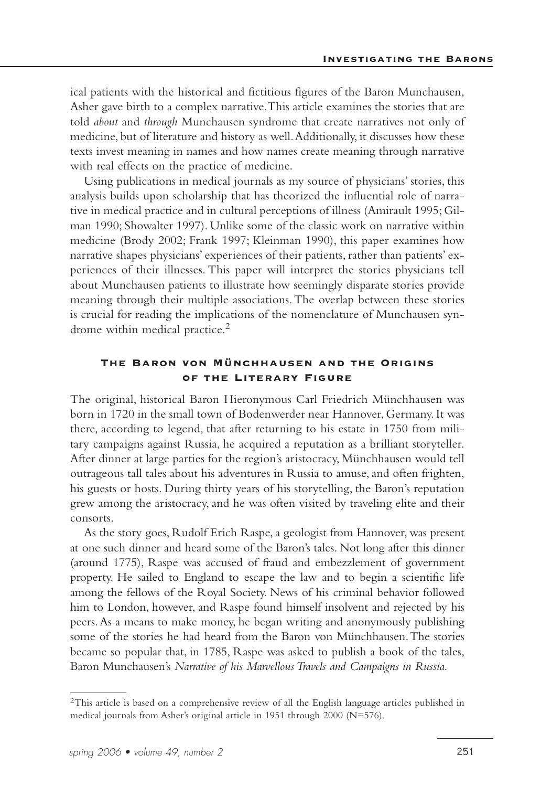ical patients with the historical and fictitious figures of the Baron Munchausen, Asher gave birth to a complex narrative.This article examines the stories that are told *about* and *through* Munchausen syndrome that create narratives not only of medicine, but of literature and history as well.Additionally, it discusses how these texts invest meaning in names and how names create meaning through narrative with real effects on the practice of medicine.

Using publications in medical journals as my source of physicians' stories, this analysis builds upon scholarship that has theorized the influential role of narrative in medical practice and in cultural perceptions of illness (Amirault 1995; Gilman 1990; Showalter 1997). Unlike some of the classic work on narrative within medicine (Brody 2002; Frank 1997; Kleinman 1990), this paper examines how narrative shapes physicians' experiences of their patients, rather than patients' experiences of their illnesses. This paper will interpret the stories physicians tell about Munchausen patients to illustrate how seemingly disparate stories provide meaning through their multiple associations.The overlap between these stories is crucial for reading the implications of the nomenclature of Munchausen syndrome within medical practice.<sup>2</sup>

## The Baron von Münchhausen and the Origins of the Literary Figure

The original, historical Baron Hieronymous Carl Friedrich Münchhausen was born in 1720 in the small town of Bodenwerder near Hannover, Germany. It was there, according to legend, that after returning to his estate in 1750 from military campaigns against Russia, he acquired a reputation as a brilliant storyteller. After dinner at large parties for the region's aristocracy, Münchhausen would tell outrageous tall tales about his adventures in Russia to amuse, and often frighten, his guests or hosts. During thirty years of his storytelling, the Baron's reputation grew among the aristocracy, and he was often visited by traveling elite and their consorts.

As the story goes, Rudolf Erich Raspe, a geologist from Hannover, was present at one such dinner and heard some of the Baron's tales. Not long after this dinner (around 1775), Raspe was accused of fraud and embezzlement of government property. He sailed to England to escape the law and to begin a scientific life among the fellows of the Royal Society. News of his criminal behavior followed him to London, however, and Raspe found himself insolvent and rejected by his peers.As a means to make money, he began writing and anonymously publishing some of the stories he had heard from the Baron von Münchhausen.The stories became so popular that, in 1785, Raspe was asked to publish a book of the tales, Baron Munchausen's *Narrative of his Marvellous Travels and Campaigns in Russia*.

<sup>2</sup>This article is based on a comprehensive review of all the English language articles published in medical journals from Asher's original article in 1951 through 2000 (N=576).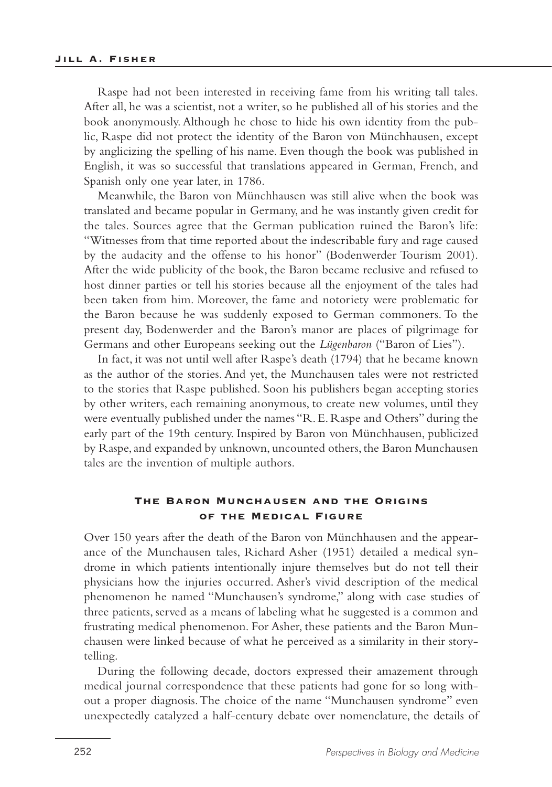Raspe had not been interested in receiving fame from his writing tall tales. After all, he was a scientist, not a writer, so he published all of his stories and the book anonymously. Although he chose to hide his own identity from the public, Raspe did not protect the identity of the Baron von Münchhausen, except by anglicizing the spelling of his name. Even though the book was published in English, it was so successful that translations appeared in German, French, and Spanish only one year later, in 1786.

Meanwhile, the Baron von Münchhausen was still alive when the book was translated and became popular in Germany, and he was instantly given credit for the tales. Sources agree that the German publication ruined the Baron's life: "Witnesses from that time reported about the indescribable fury and rage caused by the audacity and the offense to his honor" (Bodenwerder Tourism 2001). After the wide publicity of the book, the Baron became reclusive and refused to host dinner parties or tell his stories because all the enjoyment of the tales had been taken from him. Moreover, the fame and notoriety were problematic for the Baron because he was suddenly exposed to German commoners. To the present day, Bodenwerder and the Baron's manor are places of pilgrimage for Germans and other Europeans seeking out the *Lügenbaron* ("Baron of Lies").

In fact, it was not until well after Raspe's death (1794) that he became known as the author of the stories. And yet, the Munchausen tales were not restricted to the stories that Raspe published. Soon his publishers began accepting stories by other writers, each remaining anonymous, to create new volumes, until they were eventually published under the names "R. E. Raspe and Others" during the early part of the 19th century. Inspired by Baron von Münchhausen, publicized by Raspe, and expanded by unknown, uncounted others, the Baron Munchausen tales are the invention of multiple authors.

## The Baron Munchausen and the Origins of the Medical Figure

Over 150 years after the death of the Baron von Münchhausen and the appearance of the Munchausen tales, Richard Asher (1951) detailed a medical syndrome in which patients intentionally injure themselves but do not tell their physicians how the injuries occurred. Asher's vivid description of the medical phenomenon he named "Munchausen's syndrome," along with case studies of three patients, served as a means of labeling what he suggested is a common and frustrating medical phenomenon. For Asher, these patients and the Baron Munchausen were linked because of what he perceived as a similarity in their storytelling.

During the following decade, doctors expressed their amazement through medical journal correspondence that these patients had gone for so long without a proper diagnosis.The choice of the name "Munchausen syndrome" even unexpectedly catalyzed a half-century debate over nomenclature, the details of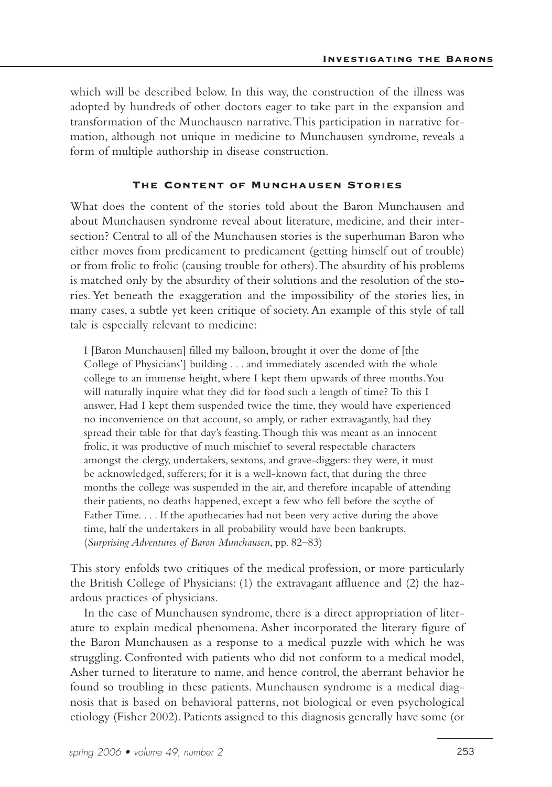which will be described below. In this way, the construction of the illness was adopted by hundreds of other doctors eager to take part in the expansion and transformation of the Munchausen narrative.This participation in narrative formation, although not unique in medicine to Munchausen syndrome, reveals a form of multiple authorship in disease construction.

### The Content of Munchausen Stories

What does the content of the stories told about the Baron Munchausen and about Munchausen syndrome reveal about literature, medicine, and their intersection? Central to all of the Munchausen stories is the superhuman Baron who either moves from predicament to predicament (getting himself out of trouble) or from frolic to frolic (causing trouble for others).The absurdity of his problems is matched only by the absurdity of their solutions and the resolution of the stories. Yet beneath the exaggeration and the impossibility of the stories lies, in many cases, a subtle yet keen critique of society. An example of this style of tall tale is especially relevant to medicine:

I [Baron Munchausen] filled my balloon, brought it over the dome of [the College of Physicians'] building . . . and immediately ascended with the whole college to an immense height, where I kept them upwards of three months.You will naturally inquire what they did for food such a length of time? To this I answer, Had I kept them suspended twice the time, they would have experienced no inconvenience on that account, so amply, or rather extravagantly, had they spread their table for that day's feasting.Though this was meant as an innocent frolic, it was productive of much mischief to several respectable characters amongst the clergy, undertakers, sextons, and grave-diggers: they were, it must be acknowledged, sufferers; for it is a well-known fact, that during the three months the college was suspended in the air, and therefore incapable of attending their patients, no deaths happened, except a few who fell before the scythe of Father Time. . . . If the apothecaries had not been very active during the above time, half the undertakers in all probability would have been bankrupts. (*Surprising Adventures of Baron Munchausen*, pp. 82–83)

This story enfolds two critiques of the medical profession, or more particularly the British College of Physicians: (1) the extravagant affluence and (2) the hazardous practices of physicians.

In the case of Munchausen syndrome, there is a direct appropriation of literature to explain medical phenomena. Asher incorporated the literary figure of the Baron Munchausen as a response to a medical puzzle with which he was struggling. Confronted with patients who did not conform to a medical model, Asher turned to literature to name, and hence control, the aberrant behavior he found so troubling in these patients. Munchausen syndrome is a medical diagnosis that is based on behavioral patterns, not biological or even psychological etiology (Fisher 2002). Patients assigned to this diagnosis generally have some (or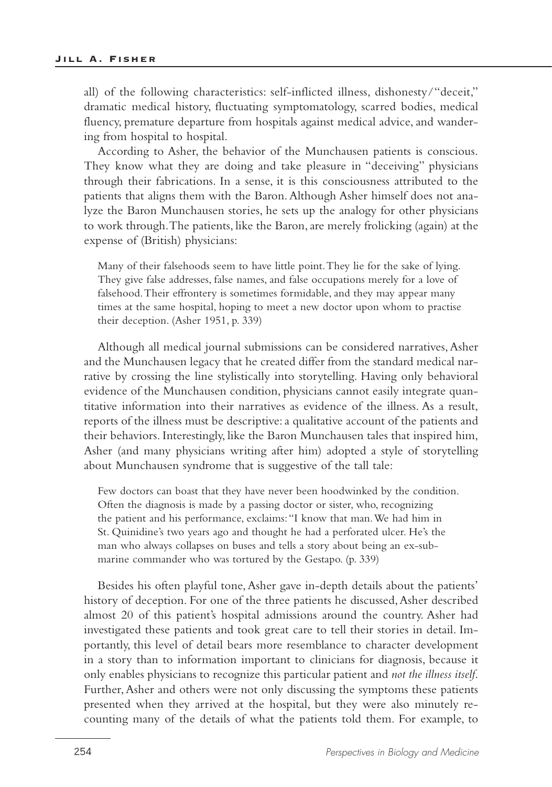all) of the following characteristics: self-inflicted illness, dishonesty/"deceit," dramatic medical history, fluctuating symptomatology, scarred bodies, medical fluency, premature departure from hospitals against medical advice, and wandering from hospital to hospital.

According to Asher, the behavior of the Munchausen patients is conscious. They know what they are doing and take pleasure in "deceiving" physicians through their fabrications. In a sense, it is this consciousness attributed to the patients that aligns them with the Baron. Although Asher himself does not analyze the Baron Munchausen stories, he sets up the analogy for other physicians to work through.The patients, like the Baron, are merely frolicking (again) at the expense of (British) physicians:

Many of their falsehoods seem to have little point.They lie for the sake of lying. They give false addresses, false names, and false occupations merely for a love of falsehood.Their effrontery is sometimes formidable, and they may appear many times at the same hospital, hoping to meet a new doctor upon whom to practise their deception. (Asher 1951, p. 339)

Although all medical journal submissions can be considered narratives, Asher and the Munchausen legacy that he created differ from the standard medical narrative by crossing the line stylistically into storytelling. Having only behavioral evidence of the Munchausen condition, physicians cannot easily integrate quantitative information into their narratives as evidence of the illness. As a result, reports of the illness must be descriptive: a qualitative account of the patients and their behaviors. Interestingly, like the Baron Munchausen tales that inspired him, Asher (and many physicians writing after him) adopted a style of storytelling about Munchausen syndrome that is suggestive of the tall tale:

Few doctors can boast that they have never been hoodwinked by the condition. Often the diagnosis is made by a passing doctor or sister, who, recognizing the patient and his performance, exclaims:"I know that man.We had him in St. Quinidine's two years ago and thought he had a perforated ulcer. He's the man who always collapses on buses and tells a story about being an ex-submarine commander who was tortured by the Gestapo. (p. 339)

Besides his often playful tone, Asher gave in-depth details about the patients' history of deception. For one of the three patients he discussed, Asher described almost 20 of this patient's hospital admissions around the country. Asher had investigated these patients and took great care to tell their stories in detail. Importantly, this level of detail bears more resemblance to character development in a story than to information important to clinicians for diagnosis, because it only enables physicians to recognize this particular patient and *not the illness itself*. Further,Asher and others were not only discussing the symptoms these patients presented when they arrived at the hospital, but they were also minutely recounting many of the details of what the patients told them. For example, to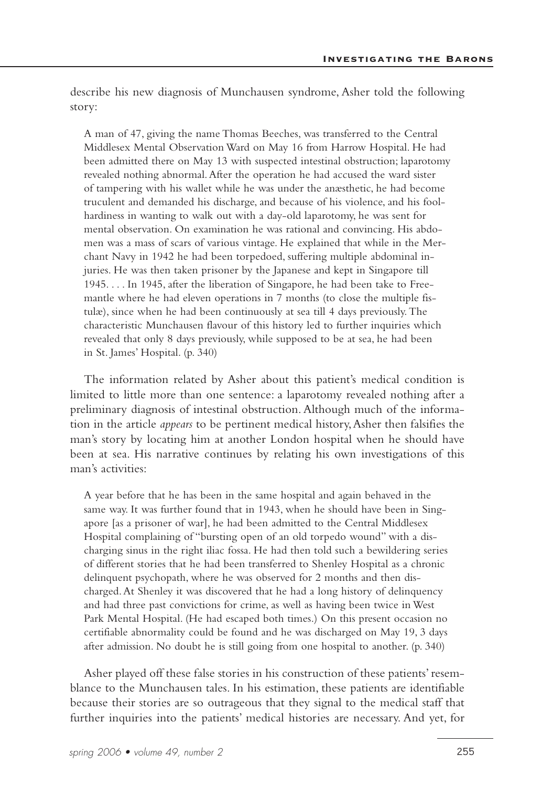describe his new diagnosis of Munchausen syndrome, Asher told the following story:

A man of 47, giving the name Thomas Beeches, was transferred to the Central Middlesex Mental Observation Ward on May 16 from Harrow Hospital. He had been admitted there on May 13 with suspected intestinal obstruction; laparotomy revealed nothing abnormal.After the operation he had accused the ward sister of tampering with his wallet while he was under the anæsthetic, he had become truculent and demanded his discharge, and because of his violence, and his foolhardiness in wanting to walk out with a day-old laparotomy, he was sent for mental observation. On examination he was rational and convincing. His abdomen was a mass of scars of various vintage. He explained that while in the Merchant Navy in 1942 he had been torpedoed, suffering multiple abdominal injuries. He was then taken prisoner by the Japanese and kept in Singapore till 1945. . . . In 1945, after the liberation of Singapore, he had been take to Freemantle where he had eleven operations in 7 months (to close the multiple fistulæ), since when he had been continuously at sea till 4 days previously. The characteristic Munchausen flavour of this history led to further inquiries which revealed that only 8 days previously, while supposed to be at sea, he had been in St. James' Hospital. (p. 340)

The information related by Asher about this patient's medical condition is limited to little more than one sentence: a laparotomy revealed nothing after a preliminary diagnosis of intestinal obstruction. Although much of the information in the article *appears* to be pertinent medical history,Asher then falsifies the man's story by locating him at another London hospital when he should have been at sea. His narrative continues by relating his own investigations of this man's activities:

A year before that he has been in the same hospital and again behaved in the same way. It was further found that in 1943, when he should have been in Singapore [as a prisoner of war], he had been admitted to the Central Middlesex Hospital complaining of "bursting open of an old torpedo wound" with a discharging sinus in the right iliac fossa. He had then told such a bewildering series of different stories that he had been transferred to Shenley Hospital as a chronic delinquent psychopath, where he was observed for 2 months and then discharged.At Shenley it was discovered that he had a long history of delinquency and had three past convictions for crime, as well as having been twice in West Park Mental Hospital. (He had escaped both times.) On this present occasion no certifiable abnormality could be found and he was discharged on May 19, 3 days after admission. No doubt he is still going from one hospital to another. (p. 340)

Asher played off these false stories in his construction of these patients' resemblance to the Munchausen tales. In his estimation, these patients are identifiable because their stories are so outrageous that they signal to the medical staff that further inquiries into the patients' medical histories are necessary. And yet, for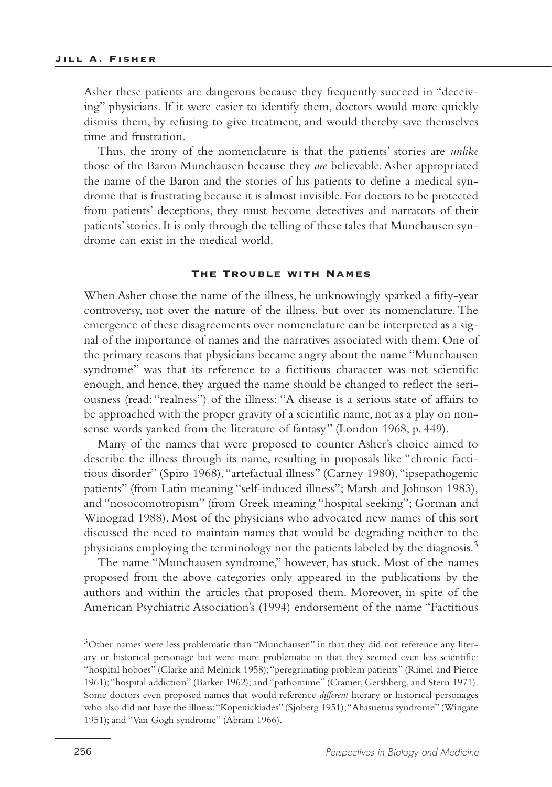Asher these patients are dangerous because they frequently succeed in "deceiving" physicians. If it were easier to identify them, doctors would more quickly dismiss them, by refusing to give treatment, and would thereby save themselves time and frustration.

Thus, the irony of the nomenclature is that the patients' stories are *unlike* those of the Baron Munchausen because they *are* believable.Asher appropriated the name of the Baron and the stories of his patients to define a medical syndrome that is frustrating because it is almost invisible. For doctors to be protected from patients' deceptions, they must become detectives and narrators of their patients' stories. It is only through the telling of these tales that Munchausen syndrome can exist in the medical world.

#### The Trouble with Names

When Asher chose the name of the illness, he unknowingly sparked a fifty-year controversy, not over the nature of the illness, but over its nomenclature. The emergence of these disagreements over nomenclature can be interpreted as a signal of the importance of names and the narratives associated with them. One of the primary reasons that physicians became angry about the name "Munchausen syndrome" was that its reference to a fictitious character was not scientific enough, and hence, they argued the name should be changed to reflect the seriousness (read: "realness") of the illness: "A disease is a serious state of affairs to be approached with the proper gravity of a scientific name, not as a play on nonsense words yanked from the literature of fantasy" (London 1968, p. 449).

Many of the names that were proposed to counter Asher's choice aimed to describe the illness through its name, resulting in proposals like "chronic factitious disorder" (Spiro 1968),"artefactual illness" (Carney 1980),"ipsepathogenic patients" (from Latin meaning "self-induced illness"; Marsh and Johnson 1983), and "nosocomotropism" (from Greek meaning "hospital seeking"; Gorman and Winograd 1988). Most of the physicians who advocated new names of this sort discussed the need to maintain names that would be degrading neither to the physicians employing the terminology nor the patients labeled by the diagnosis.<sup>3</sup>

The name "Munchausen syndrome," however, has stuck. Most of the names proposed from the above categories only appeared in the publications by the authors and within the articles that proposed them. Moreover, in spite of the American Psychiatric Association's (1994) endorsement of the name "Factitious

<sup>&</sup>lt;sup>3</sup>Other names were less problematic than "Munchausen" in that they did not reference any literary or historical personage but were more problematic in that they seemed even less scientific: "hospital hoboes" (Clarke and Melnick 1958);"peregrinating problem patients" (Rimel and Pierce 1961);"hospital addiction" (Barker 1962); and "pathomime" (Cramer, Gershberg, and Stern 1971). Some doctors even proposed names that would reference *different* literary or historical personages who also did not have the illness:"Kopenickiades" (Sjoberg 1951);"Ahasuerus syndrome" (Wingate 1951); and "Van Gogh syndrome" (Abram 1966).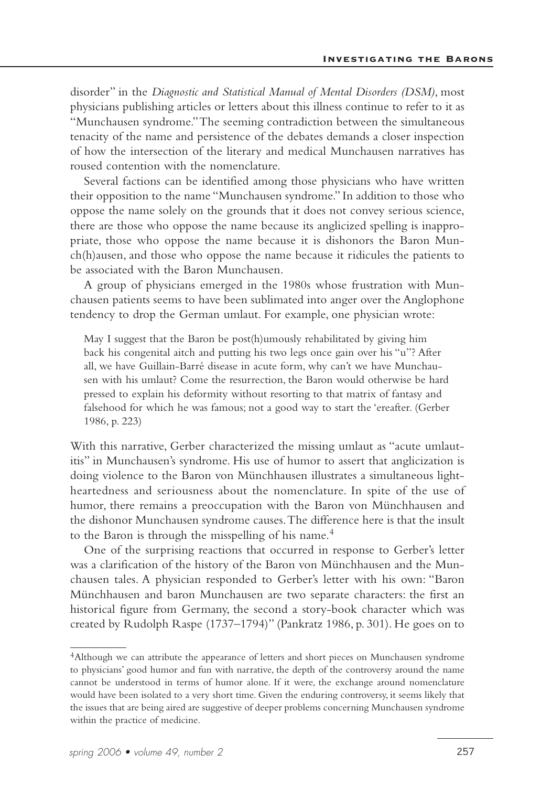disorder" in the *Diagnostic and Statistical Manual of Mental Disorders (DSM)*, most physicians publishing articles or letters about this illness continue to refer to it as "Munchausen syndrome."The seeming contradiction between the simultaneous tenacity of the name and persistence of the debates demands a closer inspection of how the intersection of the literary and medical Munchausen narratives has roused contention with the nomenclature.

Several factions can be identified among those physicians who have written their opposition to the name "Munchausen syndrome." In addition to those who oppose the name solely on the grounds that it does not convey serious science, there are those who oppose the name because its anglicized spelling is inappropriate, those who oppose the name because it is dishonors the Baron Munch(h)ausen, and those who oppose the name because it ridicules the patients to be associated with the Baron Munchausen.

A group of physicians emerged in the 1980s whose frustration with Munchausen patients seems to have been sublimated into anger over the Anglophone tendency to drop the German umlaut. For example, one physician wrote:

May I suggest that the Baron be post(h)umously rehabilitated by giving him back his congenital aitch and putting his two legs once gain over his "u"? After all, we have Guillain-Barré disease in acute form, why can't we have Munchausen with his umlaut? Come the resurrection, the Baron would otherwise be hard pressed to explain his deformity without resorting to that matrix of fantasy and falsehood for which he was famous; not a good way to start the 'ereafter. (Gerber 1986, p. 223)

With this narrative, Gerber characterized the missing umlaut as "acute umlautitis" in Munchausen's syndrome. His use of humor to assert that anglicization is doing violence to the Baron von Münchhausen illustrates a simultaneous lightheartedness and seriousness about the nomenclature. In spite of the use of humor, there remains a preoccupation with the Baron von Münchhausen and the dishonor Munchausen syndrome causes.The difference here is that the insult to the Baron is through the misspelling of his name.<sup>4</sup>

One of the surprising reactions that occurred in response to Gerber's letter was a clarification of the history of the Baron von Münchhausen and the Munchausen tales. A physician responded to Gerber's letter with his own: "Baron Münchhausen and baron Munchausen are two separate characters: the first an historical figure from Germany, the second a story-book character which was created by Rudolph Raspe (1737–1794)" (Pankratz 1986, p. 301). He goes on to

<sup>4</sup>Although we can attribute the appearance of letters and short pieces on Munchausen syndrome to physicians' good humor and fun with narrative, the depth of the controversy around the name cannot be understood in terms of humor alone. If it were, the exchange around nomenclature would have been isolated to a very short time. Given the enduring controversy, it seems likely that the issues that are being aired are suggestive of deeper problems concerning Munchausen syndrome within the practice of medicine.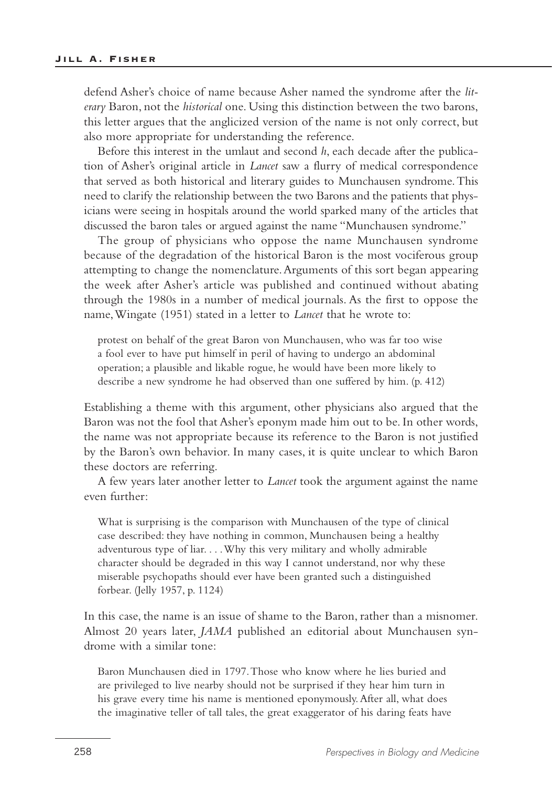defend Asher's choice of name because Asher named the syndrome after the *literary* Baron, not the *historical* one. Using this distinction between the two barons, this letter argues that the anglicized version of the name is not only correct, but also more appropriate for understanding the reference.

Before this interest in the umlaut and second *h*, each decade after the publication of Asher's original article in *Lancet* saw a flurry of medical correspondence that served as both historical and literary guides to Munchausen syndrome.This need to clarify the relationship between the two Barons and the patients that physicians were seeing in hospitals around the world sparked many of the articles that discussed the baron tales or argued against the name "Munchausen syndrome."

The group of physicians who oppose the name Munchausen syndrome because of the degradation of the historical Baron is the most vociferous group attempting to change the nomenclature.Arguments of this sort began appearing the week after Asher's article was published and continued without abating through the 1980s in a number of medical journals. As the first to oppose the name,Wingate (1951) stated in a letter to *Lancet* that he wrote to:

protest on behalf of the great Baron von Munchausen, who was far too wise a fool ever to have put himself in peril of having to undergo an abdominal operation; a plausible and likable rogue, he would have been more likely to describe a new syndrome he had observed than one suffered by him. (p. 412)

Establishing a theme with this argument, other physicians also argued that the Baron was not the fool that Asher's eponym made him out to be. In other words, the name was not appropriate because its reference to the Baron is not justified by the Baron's own behavior. In many cases, it is quite unclear to which Baron these doctors are referring.

A few years later another letter to *Lancet* took the argument against the name even further:

What is surprising is the comparison with Munchausen of the type of clinical case described: they have nothing in common, Munchausen being a healthy adventurous type of liar. . . .Why this very military and wholly admirable character should be degraded in this way I cannot understand, nor why these miserable psychopaths should ever have been granted such a distinguished forbear. (Jelly 1957, p. 1124)

In this case, the name is an issue of shame to the Baron, rather than a misnomer. Almost 20 years later, *JAMA* published an editorial about Munchausen syndrome with a similar tone:

Baron Munchausen died in 1797.Those who know where he lies buried and are privileged to live nearby should not be surprised if they hear him turn in his grave every time his name is mentioned eponymously.After all, what does the imaginative teller of tall tales, the great exaggerator of his daring feats have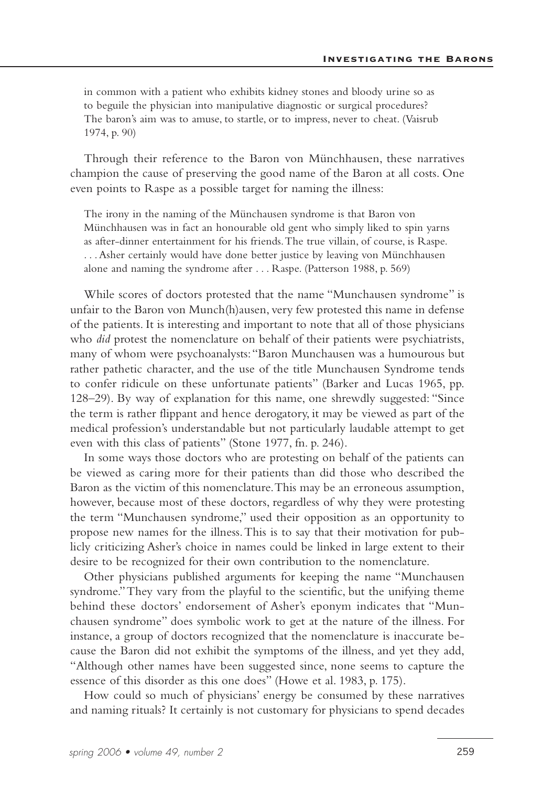in common with a patient who exhibits kidney stones and bloody urine so as to beguile the physician into manipulative diagnostic or surgical procedures? The baron's aim was to amuse, to startle, or to impress, never to cheat. (Vaisrub 1974, p. 90)

Through their reference to the Baron von Münchhausen, these narratives champion the cause of preserving the good name of the Baron at all costs. One even points to Raspe as a possible target for naming the illness:

The irony in the naming of the Münchausen syndrome is that Baron von Münchhausen was in fact an honourable old gent who simply liked to spin yarns as after-dinner entertainment for his friends.The true villain, of course, is Raspe. . . .Asher certainly would have done better justice by leaving von Münchhausen alone and naming the syndrome after . . . Raspe. (Patterson 1988, p. 569)

While scores of doctors protested that the name "Munchausen syndrome" is unfair to the Baron von Munch(h)ausen, very few protested this name in defense of the patients. It is interesting and important to note that all of those physicians who *did* protest the nomenclature on behalf of their patients were psychiatrists, many of whom were psychoanalysts:"Baron Munchausen was a humourous but rather pathetic character, and the use of the title Munchausen Syndrome tends to confer ridicule on these unfortunate patients" (Barker and Lucas 1965, pp. 128–29). By way of explanation for this name, one shrewdly suggested: "Since the term is rather flippant and hence derogatory, it may be viewed as part of the medical profession's understandable but not particularly laudable attempt to get even with this class of patients" (Stone 1977, fn. p. 246).

In some ways those doctors who are protesting on behalf of the patients can be viewed as caring more for their patients than did those who described the Baron as the victim of this nomenclature.This may be an erroneous assumption, however, because most of these doctors, regardless of why they were protesting the term "Munchausen syndrome," used their opposition as an opportunity to propose new names for the illness.This is to say that their motivation for publicly criticizing Asher's choice in names could be linked in large extent to their desire to be recognized for their own contribution to the nomenclature.

Other physicians published arguments for keeping the name "Munchausen syndrome."They vary from the playful to the scientific, but the unifying theme behind these doctors' endorsement of Asher's eponym indicates that "Munchausen syndrome" does symbolic work to get at the nature of the illness. For instance, a group of doctors recognized that the nomenclature is inaccurate because the Baron did not exhibit the symptoms of the illness, and yet they add, "Although other names have been suggested since, none seems to capture the essence of this disorder as this one does" (Howe et al. 1983, p. 175).

How could so much of physicians' energy be consumed by these narratives and naming rituals? It certainly is not customary for physicians to spend decades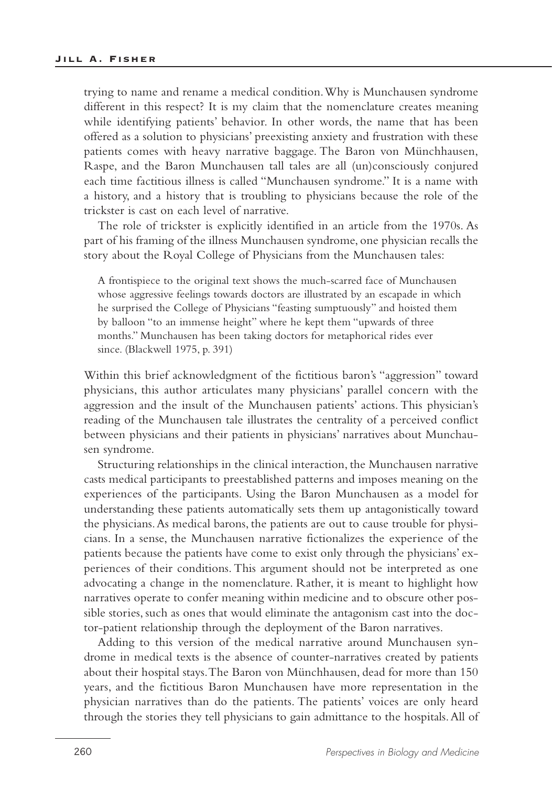trying to name and rename a medical condition.Why is Munchausen syndrome different in this respect? It is my claim that the nomenclature creates meaning while identifying patients' behavior. In other words, the name that has been offered as a solution to physicians' preexisting anxiety and frustration with these patients comes with heavy narrative baggage. The Baron von Münchhausen, Raspe, and the Baron Munchausen tall tales are all (un)consciously conjured each time factitious illness is called "Munchausen syndrome." It is a name with a history, and a history that is troubling to physicians because the role of the trickster is cast on each level of narrative.

The role of trickster is explicitly identified in an article from the 1970s. As part of his framing of the illness Munchausen syndrome, one physician recalls the story about the Royal College of Physicians from the Munchausen tales:

A frontispiece to the original text shows the much-scarred face of Munchausen whose aggressive feelings towards doctors are illustrated by an escapade in which he surprised the College of Physicians "feasting sumptuously" and hoisted them by balloon "to an immense height" where he kept them "upwards of three months." Munchausen has been taking doctors for metaphorical rides ever since. (Blackwell 1975, p. 391)

Within this brief acknowledgment of the fictitious baron's "aggression" toward physicians, this author articulates many physicians' parallel concern with the aggression and the insult of the Munchausen patients' actions. This physician's reading of the Munchausen tale illustrates the centrality of a perceived conflict between physicians and their patients in physicians' narratives about Munchausen syndrome.

Structuring relationships in the clinical interaction, the Munchausen narrative casts medical participants to preestablished patterns and imposes meaning on the experiences of the participants. Using the Baron Munchausen as a model for understanding these patients automatically sets them up antagonistically toward the physicians.As medical barons, the patients are out to cause trouble for physicians. In a sense, the Munchausen narrative fictionalizes the experience of the patients because the patients have come to exist only through the physicians' experiences of their conditions. This argument should not be interpreted as one advocating a change in the nomenclature. Rather, it is meant to highlight how narratives operate to confer meaning within medicine and to obscure other possible stories, such as ones that would eliminate the antagonism cast into the doctor-patient relationship through the deployment of the Baron narratives.

Adding to this version of the medical narrative around Munchausen syndrome in medical texts is the absence of counter-narratives created by patients about their hospital stays.The Baron von Münchhausen, dead for more than 150 years, and the fictitious Baron Munchausen have more representation in the physician narratives than do the patients. The patients' voices are only heard through the stories they tell physicians to gain admittance to the hospitals.All of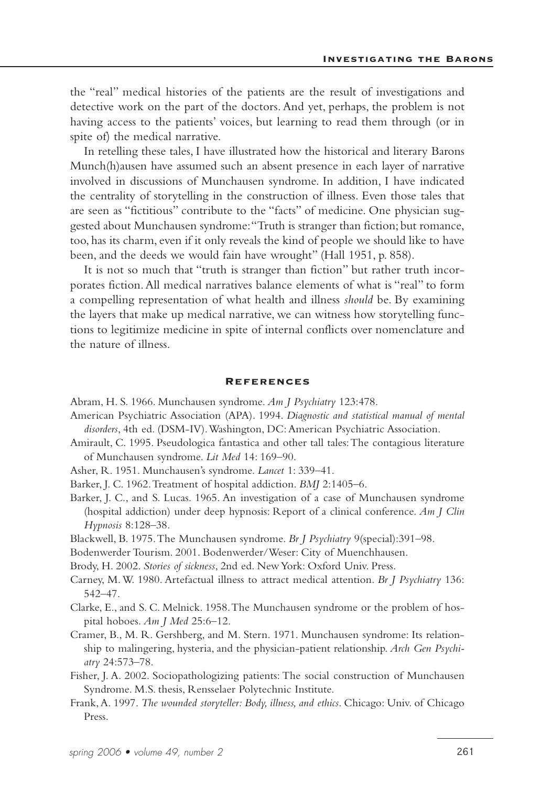the "real" medical histories of the patients are the result of investigations and detective work on the part of the doctors. And yet, perhaps, the problem is not having access to the patients' voices, but learning to read them through (or in spite of) the medical narrative.

In retelling these tales, I have illustrated how the historical and literary Barons Munch(h)ausen have assumed such an absent presence in each layer of narrative involved in discussions of Munchausen syndrome. In addition, I have indicated the centrality of storytelling in the construction of illness. Even those tales that are seen as "fictitious" contribute to the "facts" of medicine. One physician suggested about Munchausen syndrome:"Truth is stranger than fiction; but romance, too, has its charm, even if it only reveals the kind of people we should like to have been, and the deeds we would fain have wrought" (Hall 1951, p. 858).

It is not so much that "truth is stranger than fiction" but rather truth incorporates fiction.All medical narratives balance elements of what is "real" to form a compelling representation of what health and illness *should* be. By examining the layers that make up medical narrative, we can witness how storytelling functions to legitimize medicine in spite of internal conflicts over nomenclature and the nature of illness.

#### **REFERENCES**

Abram, H. S. 1966. Munchausen syndrome. *Am J Psychiatry* 123:478.

- American Psychiatric Association (APA). 1994. *Diagnostic and statistical manual of mental disorders*, 4th ed. (DSM-IV).Washington, DC:American Psychiatric Association.
- Amirault, C. 1995. Pseudologica fantastica and other tall tales:The contagious literature of Munchausen syndrome. *Lit Med* 14: 169–90.
- Asher, R. 1951. Munchausen's syndrome. *Lancet* 1: 339–41.
- Barker, J. C. 1962.Treatment of hospital addiction. *BMJ* 2:1405–6.
- Barker, J. C., and S. Lucas. 1965. An investigation of a case of Munchausen syndrome (hospital addiction) under deep hypnosis: Report of a clinical conference. *Am J Clin Hypnosis* 8:128–38.
- Blackwell, B. 1975.The Munchausen syndrome. *Br J Psychiatry* 9(special):391–98.
- Bodenwerder Tourism. 2001. Bodenwerder/Weser: City of Muenchhausen.
- Brody, H. 2002. *Stories of sickness*, 2nd ed. New York: Oxford Univ. Press.
- Carney, M. W. 1980. Artefactual illness to attract medical attention. *Br J Psychiatry* 136: 542–47.
- Clarke, E., and S. C. Melnick. 1958.The Munchausen syndrome or the problem of hospital hoboes. *Am J Med* 25:6–12.
- Cramer, B., M. R. Gershberg, and M. Stern. 1971. Munchausen syndrome: Its relationship to malingering, hysteria, and the physician-patient relationship. *Arch Gen Psychiatry* 24:573–78.
- Fisher, J. A. 2002. Sociopathologizing patients: The social construction of Munchausen Syndrome. M.S. thesis, Rensselaer Polytechnic Institute.
- Frank,A. 1997. *The wounded storyteller: Body, illness, and ethics*. Chicago: Univ. of Chicago Press.